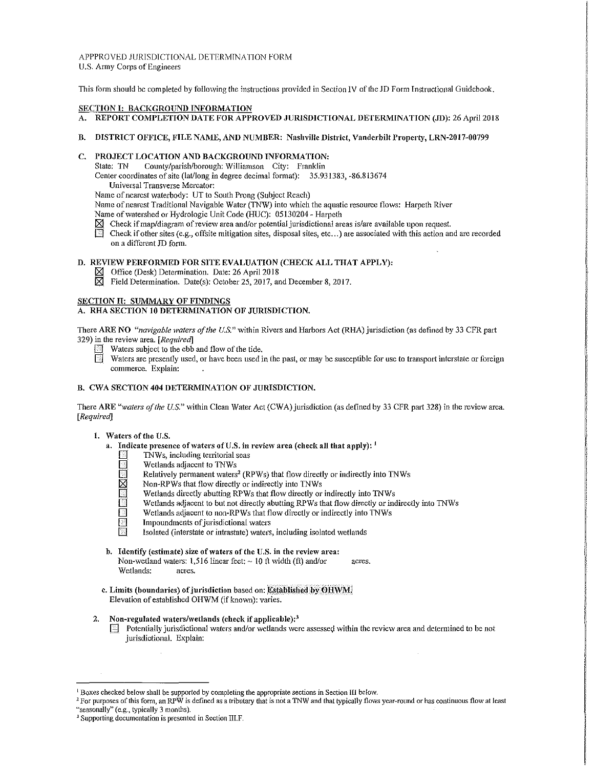APPPROVED JURISDICTIONAL DETERMTNATION FORM U.S. Army Corps of Engineers

This form should be completed by following the instructions provided in Section IV of the JD Form Instructional Guidebook.

#### SECTION I: BACKGROUND INFORMATION

- A. REPORT COMPLETION DATE FOR APPROVED JURISDICTIONAL DETERMINATION (JD): 26 April 2018
- B. DISTRICT OFFICE, FILE NAME, AND NUMBER: Nashville District, Vanderbilt Property, LRN-2017-00799

# C. PROJECT LOCATION AND BACKGROUND INFORMATION:<br>State: TN County/parish/borough: Williamson City: Franklin

County/parish/borough: Williamson City: Franklin

Center coordinates of site (lat/long in degree decimal format): 35.931383, -86.813674 Universal Transverse Mercator:

Name of nearest waterbody: UT to South Prong (Subject R\_each)

Name of nearest Traditional Navigable Water (TNW) into which the aquatic resource flows: Harpeth River

Name of watershed or Hydrologic Unit Code (HUC): 05130204 - Harpeth

- $\boxtimes$  Check if map/diagram of review area and/or potential jurisdictional areas is/are available upon request.<br>In Check if other sites (e.g., offsite mitigation sites, disposal sites, etc...) are associated with this acti
- Check if other sites (e.g., off site mitigation sites, disposal sites, etc...) are associated with this action and are recorded on a different JD form.

# D. REVIEW PERFORMED FOR SITE EVALUATION (CHECK ALL THAT APPLY):

- f81 Office (Desk) Determination. Date: 26 April 2018
- $\boxtimes$  Field Determination. Date(s): October 25, 2017, and December 8, 2017.

# SECTION II: SUMMARY OF FINDINGS

# A. RHA SECTION IO DETERMINATION OF JURISDICTION.

There ARE NO *"navigable ivaters of the U.S."* within Rivers and Harbors Act (RHA) jurisdiction (as defined by 33 CFH. part 329) in the revie\.V area. *[Required]* 

- Waters subject to the ebb and flow of the tide.
- Waters are presently used, or have been used in the past, or may be susceptible for use to transport interstate or foreign commerce. Explain:

## B. CWA SECTION 404 DETERMINATION OF JURISDICTION.

There ARE "*waters of the U.S."* within Clean Water Act (CWA) jurisdiction (as defined by 33 CFR part 328) in the review area. *[Required]* 

## 1. \Vaters of the U.S.

- a. Indicate presence of waters of U.S, in review area (check all that apply):  $<sup>1</sup>$ </sup>
	- 0 TNWs, including territorial seas
	- **1. Wetlands adjacent to TNWs**<br> **1. Relatively permanent waters**
	- Relatively permanent waters<sup>2</sup> (RPWs) that flow directly or indirectly into TNWs Non-RPWs that flow directly or indirectly into TNWs
	- Non-RPWs that flow directly or indirectly into TNWs
	- Wetlands directly abutting RPWs that flow directly or indirectly into TNWs
	- Wetlands adjacent to but not directly abutting RPWs that flow directly or indirectly into TNWs<br>
	Wetlands adjacent to non-RPWs that flow directly or indirectly into TNWs
	- Wetlands adjacent to non-RPWs that flow directly or indirectly into TNWs<br>Impoundments of jurisdictional waters
	- Impoundments of jurisdictional waters
	- Isolated (interstate or intrastate) waters, including isolated wetlands
- b. Identify (estimate) size of waters of the U.S. in the review area: Non-wetland waters: 1,516 linear feet:  $\sim$  10 ft width (ft) and/or acres. Wetlands: acres.
- c. Limits (boundaries) of jurisdiction based on: Established by OHWM. Elevation of established OHWM (if known): varies.

#### 2. Non-regulated waters/wetlands (check if applicable): $3$

 $\Box$  Potentially jurisdictional waters and/or wetlands were assessed within the review area and determined to be not jurisdictional. Explain:

<sup>&</sup>lt;sup>1</sup> Boxes checked below shall be supported by completing the appropriate sections in Section III below.<br><sup>2</sup> For purposes of this form, an RPW is defined as a tributary that is not a TNW and that typically flows year-round "seasonally" (e.g., typically 3 months).

<sup>&</sup>lt;sup>3</sup> Supporting documentation is presented in Section III.F.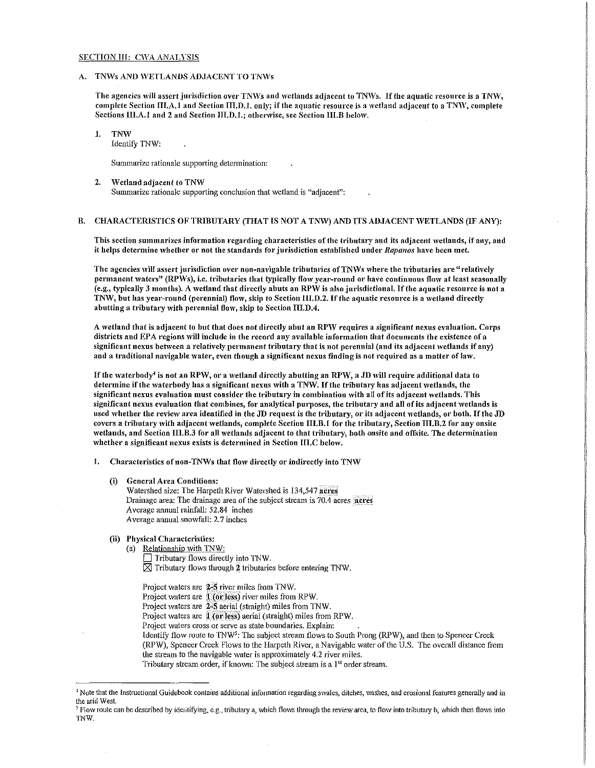#### SECTION III: CWA ANALYSIS

#### A. TNWs AND WETLANDS ADJACENT TO TNWs

The agencies will assert jurisdiction over TNWs and wetlands adjacent to TNWs. If the aquatic resource is a TNW, complete Section III.A.1 and Section III.D.1. only; if the aquatic resource is a wetland adjacent to a TNW, complete Sections III.A.1 and 2 and Section III.D.1.; otherwise, see Section III.B below.

1. TNW Identify TNW:

Summarize rationale supporting determination:

2. Wetland adjacent to TNW Summarize rationale supporting conclusion that wetland is "adjacent":

#### B. CHARACTERISTICS OF TRIBUTARY (THAT IS NOT A TNW) AND ITS ADJACENT WETLANDS (IF ANY):

This section summarizes information regarding characteristics of the tributary and its adjacent wetlands, if any, and it helps determine whether or not the standards for jurisdiction established under Rapanos have been met.

The agencies will assert jurisdiction over non-navigable tributaries of TNWs where the tributaries are "relatively permanent waters" (RPWs), i.e. tributaries that typically flow year-round or have continuous flow at least seasonally (e.g., typically 3 months). A wetland that directly abuts an RPW is also jurisdictional. If the aquatic resource is not a TNW, but has year-round (perennial) flow, skip to Section III.D.2. If the aquatic resource is a wetland directly abutting a tributary with perennial flow, skip to Section III.D.4.

A wetland that is adjacent to but that does not directly abut an RPW requires a significant nexus evaluation. Corps districts and EPA regions will include in the record any available information that documents the existence of a significant nexus between a relatively permanent tributary that is not perennial (and its adjacent wetlands if any) and a traditional navigable water, even though a significant nexus finding is not required as a matter of law.

If the waterbody<sup>4</sup> is not an RPW, or a wetland directly abutting an RPW, a JD will require additional data to determine if the waterbody has a significant nexus with a TNW. If the tributary has adjacent wetlands, the significant nexus evaluation must consider the tributary in combination with all of its adjacent wetlands. This significant nexus evaluation that combines, for analytical purposes, the tributary and all of its adjacent wetlands is used whether the review area identified in the JD request is the tributary, or its adjacent wetlands, or both. If the JD covers a tributary 'vith adjacent 'vetlands, complete Section III.B.l for the tributary, Section III.B.2 for any onsite wetlands, and Section III.B.3 for all wetlands adjacent to that tributary, both onsite and offsite. The determination whether a significant nexus exists is determined in Section III.C below.

- 1. Characteristics of non-TNWs that flow directly or indirectly into TNW
	- (i) General Area Conditions:

Watershed size: The Harpeth River Watershed is 134,547 acres Drainage area: The drainage area of the subject stream is 70.4 acres acres Average annual rainfall: 52.84 inches Average annual snowfall: 2.7 inches

- (ii) Physical Characteristics:
	- (a) Relationship with  $TNW$ :

 $\Box$  Tributary flows directly into TNW.  $\times$  Tributary flows through 2 tributaries before entering TNW.

Project waters are  $2-5$  river miles from TNW.

Project waters are 1 (or less) river miles from RPW.

Project waters are 2-5 aerial (straight) miles from TNW.

Project waters are 1 (or less) aerial (straight) miles from RPW.

Project waters cross or serve as state boundaries. Explain:

Identify flow route to TNW<sup>5</sup>: The subject stream flows to South Prong (RPW), and then to Spencer Creek (RPW), Spencer Creek Flows to the Harpeth River, a Navigable water of the U.S. The overall distance from

the stream to the navigable water is approximately 4.2 river miles.

Tributary stream order, if known: The subject stream is a 1<sup>st</sup> order stream.

<sup>&</sup>lt;sup>4</sup>Note that the Instructional Guidebook contains additional information regarding swales, ditches, washes, and erosional features generally and in the arid West.

<sup>&</sup>lt;sup>5</sup> Flow route can be described by identifying, e.g., tributary a, which flows through the review area, to flow into tributary b, which then flows into TNW.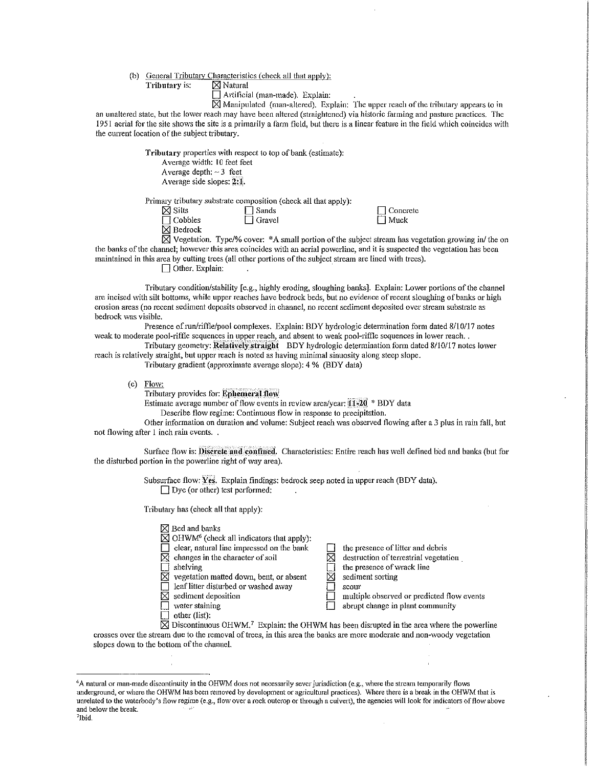(b)  $\frac{\text{General Tributary Characteristics (check all that apply):}}{\text{Tributary is:}}$ 

Tributary is:

 $\Box$  Artificial (man-made). Explain:

 $\overline{X}$  Manipulated (man-altered). Explain: The upper reach of the tributary appears to in an unaltered state, but the lower reach may have been altered (straightened) via historic farming and pasture practices. The 1951 aerial for the site shows the site is a primarily a farm field, but there is a linear feature in the field which coincides with the current location of the subject tributary.

> Tributary properties with respect to top of bank (estimate): Average width: 10 feet feet Average depth:  $\sim$  3 feet Average side slopes:  $2:1$ .

Primary tributary substrate composition (check all that apply):

| $\boxtimes$ Silts   | $\Box$ Sands  |
|---------------------|---------------|
| $\Box$ Cobbles      | $\Box$ Gravel |
| $\boxtimes$ Bedrock |               |

 $\Box$  Concrete  $\Box$  Muck

 $\boxtimes$  Vegetation. Type/% cover:  $*A$  small portion of the subject stream has vegetation growing in/ the on the banks of the channel; however this area coincides with an aerial powerline, and it is suspected the vegetation has been maintained in this area by cutting trees (all other portions of the subject stream are lined with trees).

 $\Box$  Other. Explain:

Tributary condition/stability [e.g., highly eroding, sloughing banks]. Explain: Lower portions of the channel are incised with silt bottoms, while upper reaches have bedrock beds, but no evidence of recent sloughing of banks or high erosion areas (no recent sediment deposits observed in channel, no recent sediment deposited over stream substrate as bedrock was visible.

Presence of run/riffle/pool complexes. Explain: BDY hydrologic determination form dated 8/10/17 notes weak to moderate pool-riffle sequences in upper reach, and absent to weak pool-riffle sequences in lower reach...

Tributary geometry: Relatively straight BDY hydrologic determination form dated 8/10/17 notes lower reach is relatively straight, but upper reach is noted as having minimal sinuosity along steep slope.

Tributary gradient (approximate average slope): 4 % (BDY data)

(c) Flow:

Tributary provides for: Enhemeral flow

Estimate average number of flow events in review area/year:  $11-20$  \* BDY data

Describe flow regime: Continuous flow in response to precipitation.

Other information on duration and volume: Subject reach was observed flowing after a 3 plus in rain fall, but not flowing after 1 inch rain events. .

Surface flow is: Discrete and confined. Characteristics: Entire reach has well defined bed and banks (but for the disturbed portion in the powerline right of way area).

> Subsurface flow; Yes. Explain findings: bedrock seep noted in upper reach (BDY data).  $\Box$  Dye (or other) test performed:

Tributaiy has (check all that apply):

|              | $\boxtimes$ Bed and banks                                        |                                            |
|--------------|------------------------------------------------------------------|--------------------------------------------|
|              | $\boxtimes$ OHWM <sup>6</sup> (check all indicators that apply): |                                            |
| $\mathbf{1}$ | clear, natural line impressed on the bank                        | the presence of litter and debris          |
| $\bowtie$    | changes in the character of soil                                 | destruction of terrestrial vegetation      |
|              | shelving                                                         | the presence of wrack line                 |
|              | $\boxtimes$ vegetation matted down, bent, or absent              | sediment sorting                           |
| $\mathbf{I}$ | leaf litter disturbed or washed away                             | scour                                      |
| K            | sediment deposition                                              | multiple observed or predicted flow events |
| $\mathbf{I}$ | water staining                                                   | abrupt change in plant community           |
|              | other (list):                                                    |                                            |

 $\boxtimes$  Discontinuous OHWM.<sup>7</sup> Explain: the OHWM has been disrupted in the area where the powerline crosses over the stream due to the removal of trees, in this area the banks are more moderate and non-woody vegetation slopes down to the bottom of the channel.

<sup>&</sup>lt;sup>6</sup>A natural or man-made discontinuity in the OHWM does not necessarily sever jurisdiction (e.g., where the stream temporarily flows underground, or where the OHWM has been removed by development or agricultural practices). \Nhere there is a break in the OHWM that is unrelated to the waterbody's flow regime (e.g., flow over a rock outcrop or through a culvert), the agencies will look for indicators of flow above and below the break. 7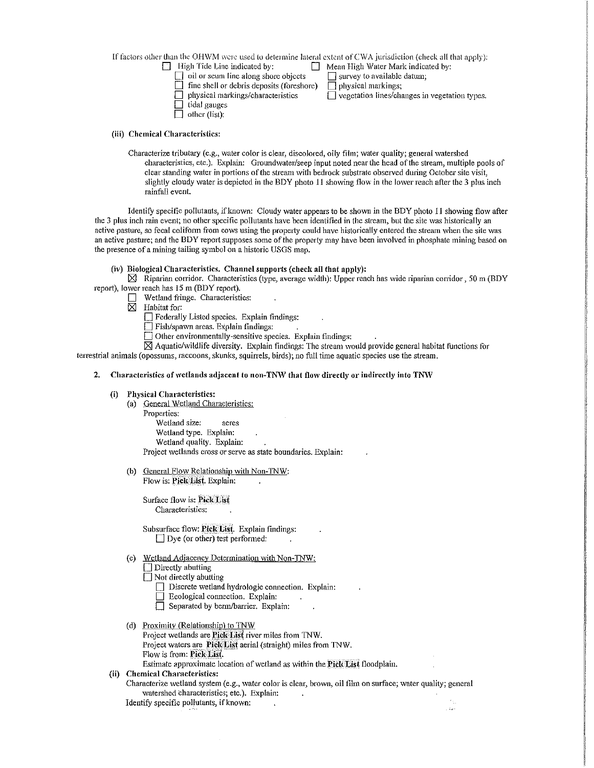If factors other than the OHWM were used to determine lateral extent of CWA jurisdiction (check all that apply):<br>  $\Box$  High Tide Line indicated by:

- 
- $\Box$  Mean High Water Mark indicated by:<br>  $\Box$  survey to available datum;
- $\Box$  oil or scum line along shore objects  $\Box$  survey to available fine shell or debris deposits (foreshore)  $\Box$  physical markings;  $\Box$  fine shell or debris deposits (foreshore)<br> $\Box$  physical markings/characteristics
	- $\overline{\Box}$  vegetation lines/changes in vegetation types.
- $\Box$  tidal gauges
- $\Box$  other (list):

# (iii) Chemical Characteristics:

Characterize tributary (e.g., water color is clear, discolored, oily film; water quality; general watershed characteristics, etc.). Explain: Groundwater/seep input noted near the head ofthc stream, multiple pools of clear standing water in portions of the stream with bedrock substrate observed during October site visit, slightly cloudy water is depicted in the BDY photo 11 showing flow in the lower reach after the 3 plus inch rainfall event.

Identify specific pollutants, if known: Cloudy water appears to be shown in the BDY photo 11 showing flow after the 3 plus inch rain event; no other specific pollutants have been identified in the stream, but the site was historically an active pasture, so fecal coliform from cows using the property could have historically entered the stream when the site was an active pasture; and the BDY report supposes some of the property may have been involved in phosphate mining based on the presence of a mining tailing symbol on a historic USGS map.

# (iv) Biological Characteristics. Channel supports (check all that apply):

 $\boxtimes$  Riparian corridor. Characteristics (type, average width): Upper reach has wide riparian corridor, 50 m (BDY report), lower reach has 15 m (BDY report).

- $\Box$  Wetland fringe. Characteristics:<br> $\boxtimes$  Habitat for:
- Habitat for:

D Federally Listed species. Explain findings:

D Fish/spa\vn areas. Explain findings:

 $\Box$  Other environmentally-sensitive species. Explain findings:

 $\boxtimes$  Aquatic/wildlife diversity. Explain findings: The stream would provide general habitat functions for

terrestrial animals (opossums, raccoons, skunks, squirrels, birds); no full time aquatic species use the stream.

# 2. Characteristics of wetlands adjacent to non-TNW that flow directly or indirectly into TNW

## (i) Physical Characteristics:

- (a) General Wetland Characteristics: Properties: Wetland size: acres Wetland type. Explain: Wetland quality. Explain: Project wetlands cross or serve as state boundaries. Explain:
- (b) General Flow Relationship with Non-TNW: Flow is: Pick List. Explain:

Surface flow is: Pick List Characteristics:

Subsurface flow: Pick List. Explain findings:  $\Box$  Dye (or other) test performed:

( c) Wetland Adjacency Determination with Non-TNW:

Directly abutting

- $\Box$  Not directly abutting
	- $\Box$  Discrete wetland hydrologic connection. Explain:
	- $\Box$  Ecological connection, Explain:
	- Separated by berm/barrier. Explain:
- (d) Proximity (Relationship) to TNW

Project wetlands are Pick List river miles from TNW.

Project waters are Pick: List aerial (straight) miles from TNW.

Flow is from: Pick List.

Estimate approximate location of wetland as within the Pick List floodplain.

- (ii) Chemical Characteristics:
	- Characterize wetland system (e.g., water color is clear, brown, oil film on surface; water quality; general watershed Characteristics; etc.). Explain:  $\sim$

 $\frac{1}{2}$  ,  $\frac{1}{2}$  ,  $\frac{1}{2}$ 

Identify specific pollutants, if known: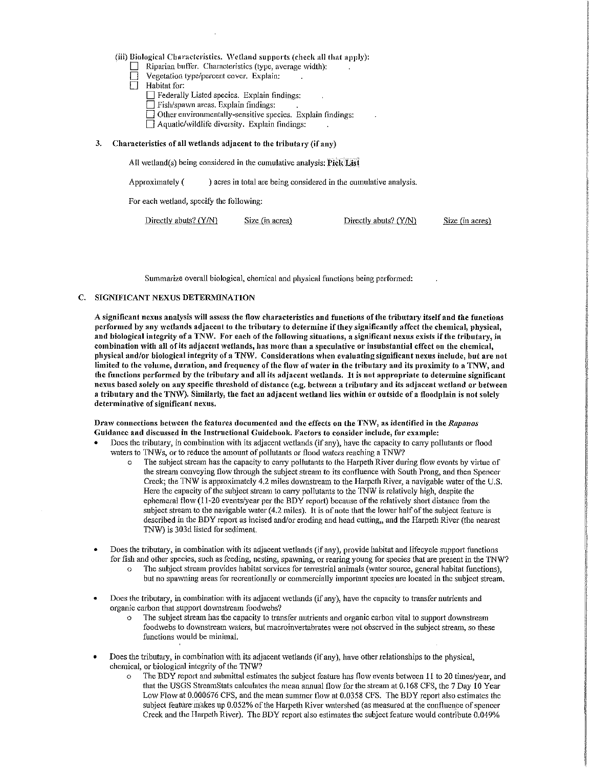(iii) Biological Characteristics. Wetland supports (check all that apply):

- $\Box$  Riparian buffer. Characteristics (type, average width):
- Vegetation type/percent cover. Explain:
- Habitat for:
	- $\Box$  Federally Listed species. Explain findings:
	- $\Box$  Fish/spawn areas. Explain findings:
	- $\Box$  Other environmentally-sensitive species. Explain findings:
	- $\Box$  Aquatic/wildlife diversity. Explain findings:

## 3. Characteristics of all wetlands adjacent to the tributary (if any)

All wetland(s) being considered in the cumulative analysis: Pick List

Approximately  $($ ) acres in total are being considered in the cumulative analysis.

For each wetland, specify the following:

| Directly abuts? $(Y/N)$ | Size (in acres) | Directly abuts? (Y/N) | Size (in acres) |
|-------------------------|-----------------|-----------------------|-----------------|
|-------------------------|-----------------|-----------------------|-----------------|

Summarize overall biological, chemical and physical functions being performed:

# C. SIGNIFICANT NEXUS DETERMINATION

A significant nexus analysis will assess the flow characteristics and functions of the tributary itself and the functions performed by any wetlands adjacent to the tributary to determine if they significantly affect the chemical, physical, and biological integrity of a TNW. For each of the following situations, a significant nexus exists if the tributary, in combination with all of its adjacent wetlands, has more than a speculative or insubstantial effect on the chemical, physical and/or biological integrity of a TNW. Considerations \Vhen evaluating significant nexus include, but are not limited to the volume, duration, and frequency of the flow of water in the tributary and its proximity to a TNW, and the functions performed by the tributary and all its adjacent wetlands. It is not appropriate to determine significant nexus based solely on any specific threshold of distance (e.g. between a tributary and its adjacent wetland or between a tributary and the TNW). Similarly, the fact an adjacent wetland lies within or outside of a floodplain is not solely determinative of significant nexus.

#### Draw connections between the features documented and the effects on the TNW, as identified in the *Rapanos* Guidance and discussed in the Instructional Guidebook. Factors to consider include, for example:

- Does the tributary, in combination with its adjacent wetlands (if any), have the capacity to carry pollutants or flood waters to TNWs, or to reduce the amount of pollutants or flood waters reaching a TNW?
	- o The subject stremn has the capacity to cm1y pollutants to the Harpeth River during flow events by virtue of the stream conveying flow through the subject stream to its confluence with South Prong, and then Spencer Creek; the TNW is approximately 4.2 miles downstream to the Harpeth River, a navigable water of the U.S. Here the capacity of the subject stream to carry pollutants to the TNW is relatively high, despite the ephemeral flow  $(11-20$  events/year per the BDY report) because of the relatively short distance from the subject stream to the navigable water (4.2 miles). It is of note that the lower half of the subject feature is described in the BDY report as incised and/or eroding and head cutting,, and the Harpeth River (the nearest TNW) is 303d listed for sediment.
- Does the tributary, in combination with its adjacent wetlands (if any), provide habitat and lifecycle support functions for fish and other species, such as feeding, nesting, spawning, or rearing young for species that are present in the TNW?
	- The subject stream provides habitat services for terrestrial animals (water source, general habitat functions), but no spawning areas for recreationally or commercially important species are located in the subject stream.
- Does the tributary, in combination with its adjacent wetlands (if any), have the capacity to transfer nutrients and organic carbon that support downstream foodwebs?
	- o The subject stream has the capacity to transfer nutrients and organic carbon vital to support do\vnstream foodwebs to downstream waters, but macroinvertabrates were not observed in the subject stream, so these functions would be minimal.
- Does the tributary, in combination with its adjacent wetlands (if any), have other relationships to the physical, chemical, or biological integrity of the TNW?
	- $\circ$  The BDY report and submittal estimates the subject feature has flow events between 11 to 20 times/year, and that the USGS StreamStats calculates the mean annual flow for the stream at 0.168 CFS, the 7 Day 10 Year Low Flow at 0.000676 CFS, and the mean summer flow at 0.0358 CFS. The BDY report also estimates the subject feature makes up 0.052% of the Harpeth River watershed (as measured at the confluence of spencer Creek and the Harpeth River). The BDY report also estimates the subject feature would contribute 0.049%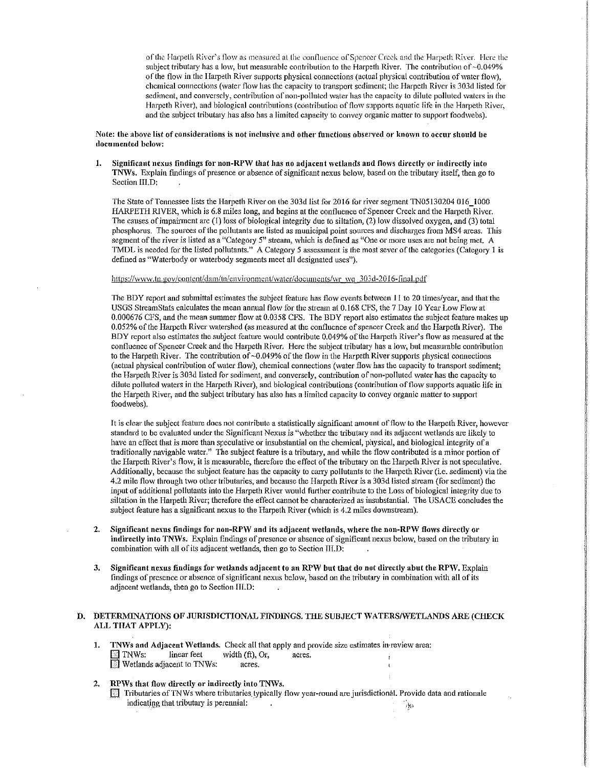of the Harpeth River's flow as measured at the confluence of Spencer Creek and the Harpeth River. Here the subject tributary has a low, but measurable contribution to the Harpeth River. The contribution of  $\sim 0.049\%$ or the flovv in the Ilarpeth River supports physical connections (actual physical contribution of \Vatcr flo\v), chemical connections (water flow has the capacity to transport sediment; the Harpeth River is 303d listed for sediment, and conversely, contribution of non-polluted water has the capacity to dilute polluted waters in the Harpeth River), and biological contributions (contribution of flow supports aquatic life in the Harpeth River, and the subject tributary has also has a limited capacity to convey organic matter to support foodwebs).

## Note: the above list of considerations is not inclusive and other functions observed or known to occur should be documented below:

1. Significant nexus findings for non-RPW that has no adjacent wetlands and flows directly or indirectly into TNWs. Explain findings of presence or absence of significant nexus below, based on the tributary itself, then go to Section IILD:

The State of Tennessee lists the Harpeth River on the 303d list for 2016 for river segment TN05130204 016 1000 HARPETH RIVER, which is 6.8 miles long, and begins at the confluence of Spencer Creek and the Harpeth River. The causes of impairment are (1) loss of biological integrity due to siltation,  $(2)$  low dissolved oxygen, and (3) total phosphorus. The sources of the pollutants are listed as municipal point sources and discharges from MS4 areas. This segment of the river is listed as a "Category 5" stream, which is defined as "One or more uses are not being met. A TMDL is needed for the listed pollutants." A Category 5 assessment is the most sever of the categories (Category 1 is defined as "Waterbody or waterbody segments meet all designated uses").

## https://www.tn.gov/content/dam/tn/environment/water/documents/wr wq 303d-2016-final.pdf

The BDY report and submittal estimates the subject feature has flow events between  $11$  to 20 times/year, and that the USGS StreamStats calculates the mean annual flow for the stream at 0.168 CFS, the 7 Day 10 Year Low Flow at 0.000676 CFS, and the mean summer flow at 0.0358 CFS. The BDY report aiso estimates the subject feature makes up 0.052% of the Harpeth River watershed (as measured at the confluence of spencer Creek and the Harpeth River). The BDY report also estimates the subject feature would contribute 0.049% of the Harpeth River's flow as measured at the confluence of Spencer Creek and the Harpeth River. Here the subject tributary has a low, but measurable contribution to the Harpeth River. The contribution of  $\sim 0.049\%$  of the flow in the Harpeth River supports physical connections (actual physical contribution of water flow), chemical connections (water flow has the capacity to transport sediment; the Harpeth River is 303d listed for sediment, and conversely, contribution of non-polluted \Vater has the capacity to dilute polluted waters in the Harpeth River), and biological contributions (contribution of flow supports aquatic life in the Harpeth River, and the subject tributary has also has a limited capacity to convey organic matter to support foodwebs).

It is clear the subject feature does not contribute a statistically significant amount of flow to the Harpeth River, however standard to be evaluated under the Significant Nexus is "whether the tributary and its adiacent wetlands are likely to have an effect that is more than speculative or insubstantial on the chemical, physical, and biological integrity of a traditionally navigable water." The subject feature is a tributary, and while the flow contributed is a minor portion of the Harpeth River's flow, it is measurable, therefore the effect of the tributary on the Harpeth River is not speculative. Additionally, because the subject feature has the capacity to carry pollutants to the Harpeth River (i.e. sediment) via the 4.2 mile flow through two other tributaries, and because the Harpeth River is a 303d listed stream (for sediment) the input of additional pollutants into the Harpeth River would ftuther contribute to the Loss of biological integrity due to siltation in the Harpeth River; therefore the effect cannot be characterized as insubstantial. The USACE concludes the subject feature has a significant nexus to the Harpeth River (which is 4.2 miles downstream).

- 2. Significant nexus findings for non-RPW and its adjacent wetlands, where the non-RPW flows directly or indirectly into TNWs. Explain findings of presence or absence of significant nexus below, based on the tributary in combination with all of its adjacent wetlands, then go to Section III.D:
- 3. Significant nexus findings for wetlands adjacent to an RPW but that do not directly abut the RPW. Explain findings of presence or absence of significant nexus below, based on the tributary in combination with all of its adjacent wetlands, then go to Section III.D:

## D. DETERMINATIONS OF JURISDICTIONAL FINDINGS. THE SUBJECT WATERS/WETLANDS ARE (CHECK ALL THAT APPLY):

|                 |                            |                    |        | TNWs and Adjacent Wetlands. Check all that apply and provide size estimates in review area: |
|-----------------|----------------------------|--------------------|--------|---------------------------------------------------------------------------------------------|
| $\boxdot$ TNWs: | linear feet                | width $(ft)$ , Or, | acres. |                                                                                             |
|                 | Wetlands adjacent to TNWs: | acres.             |        |                                                                                             |

2. RPWs that flow directly or indirectly into TNWs.  $\Box$  Tributaries of TNWs where tributaries typically flow year-round are jurisdictional. Provide data and rationale indicating that tributary is perennial:  $\mathcal{P}^{\mathcal{C}}$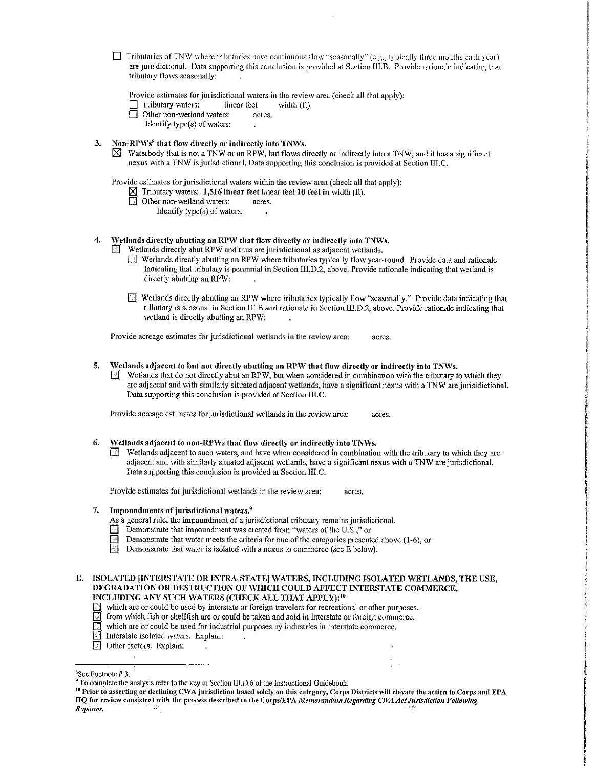$\Box$  Tributaries of TNW where tributaries have continuous flow "seasonally" (e.g., typically three months each year) are jurisdictional. Data supporting this conclusion is provided at Section III.B. Provide rationale indicating that tributary flows seasonally:

Provide estimates for jurisdictional waters in the review area (check all that apply):

- $\Box$  Tributary waters: linear feet width (ft).
- $\Box$  Other non-wetland waters: acres.
	- Identify type(s) of waters:
- 3. Non-RP $Ws<sup>8</sup>$  that flow directly or indirectly into TNWs.
	- $\boxtimes$  Waterbody that is not a TNW or an RPW, but flows directly or indirectly into a TNW, and it has a significant nexus with a TNW is jurisdictional. Data supporting this conclusion is provided at Section III.C.

Provide estimates for jurisdictional waters within the review area (check all that apply):

 $\mathcal{L}$ 

- $\boxtimes$  Tributary waters: 1,516 linear feet linear feet 10 feet in width (ft).
- **1** Other non-wetland waters: acres.
	- Identify type(s) of waters:

4. Vetlands directly abutting an RPW that flow directly or indirectly into TNWs.

Wetlands directly abut RPW and thus are jurisdictional as adjacent wetlands.

- $\sqrt{2}$  Wetlands directly abutting an RPW where tributaries typically flow year-round. Provide data and rationale indicating that tributary is perennial in Section III.D.2, above. Provide rationale indicating that wetland is directly abutting an RPW:
- D Wetlands directly abutting an RPW where tributaries typically flow "seasonally." Provide data indicating that tributary is seasonal in Section 111.B and rationale in Section III.D.2, above. Provide rationale indicating that \vetland is directly abutting an RPW:

Provide acreage estimates for jurisdictional wetlands in the review area: acres.

- 5. Wetlands adjacent to but not directly abutting an RPW that flow directly or indirectly into TNWs.
	- $\Box$  Wetlands that do not directly abut an RPW, but when considered in combination with the tributary to which they are adjacent and with similarly situated adjacent wetlands, have a significant nexus with a TNW are jurisidictional. Data supporting this conclusion is provided at Section III.C.

Provide acreage estimates for jurisdictional wetlands in the review area; acres.

- 6. Wetlands adjacent to non-RPWs that flow directly or indirectly into TNWs.
	- $\Box$  Wetlands adjacent to such waters, and have when considered in combination with the tributary to which they are adjacent and with similarly situated adjacent wetlands, have a significant nexus with a 1NW are jurisdictional. Data supporting this conclusion is provided at Section III.C.

Provide estimates for jurisdictional wetlands in the review area: acres.

- 7. Impoundments of jurisdictional waters. $9$ 
	- As a general rule, the impoundment of a jurisdictional tributary remains jurisdictional.
	- Demonstrate that impoundment was created from "waters of the U.S.," or
	- Demonstrate that water meets the criteria for one of the categories presented above (1-6), or
	- Demonstrate that water is isolated with a nexus to commerce (see  $\overline{E}$  below).
- E. ISOLATED [INTERSTATE OR INTRA-STATE] WATERS, INCLUDING ISOLATED WETLANDS, THE USE, DEGRADATION OR DESTRUCTION OF WHICH COULD AFFECT INTERSTATE COMMERCE, INCLUDING ANY SUCH WATERS (CHECK ALL THAT APPLY): <sup>10</sup>
	- Q which are or could be used by interstate or foreign travelers for recreational or other purposes.
	- $\Box$  from which fish or shellfish are or could be taken and sold in interstate or foreign commerce.
	- which are or could be used for industrial purposes by industries in interstate commerce.
	- Interstate isolated waters. Explain:
	- $\Box$  Other factors. Explain:

<sup>8</sup> See Footnote# 3.

<sup>&</sup>lt;sup>9</sup> To complete the analysis refer to the key in Section III.D.6 of the Instructional Guidebook.<br><sup>10</sup> Prior to asserting or declining CWA jurisdiction based solely on this category, Corps Districts will elevate the action HQ for review consistent with the process described in the Corps/EPA *Memorandum Regarding CWA Act Jurisdiction Following*<br>Rapanos.